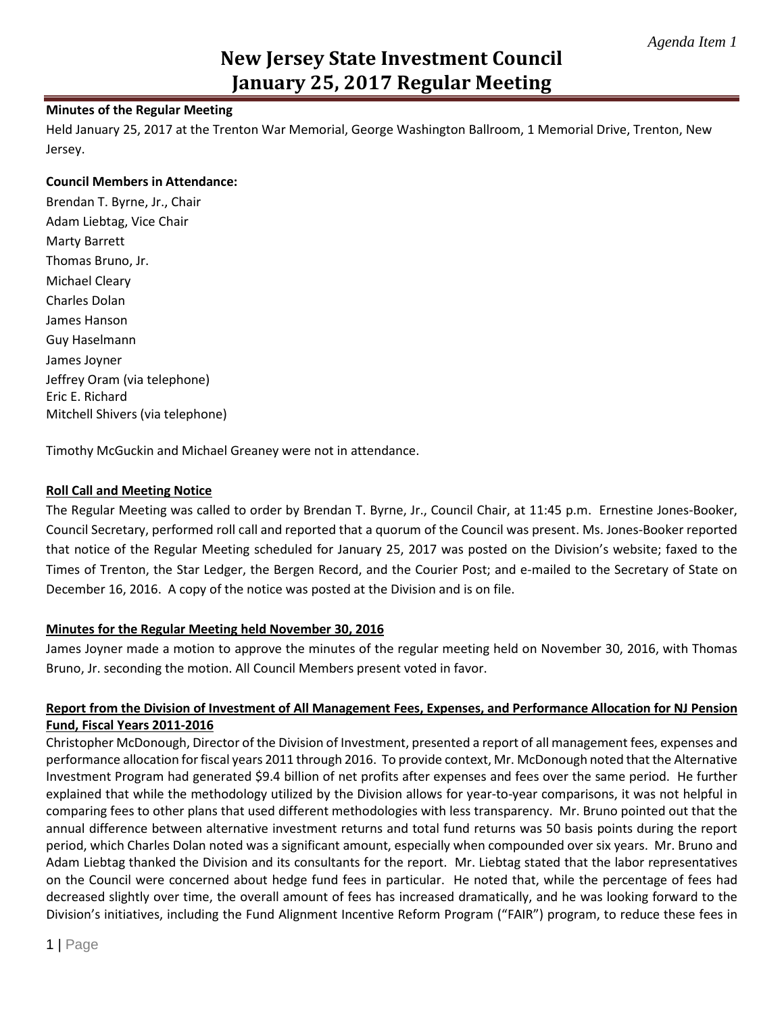# **New Jersey State Investment Council January 25, 2017 Regular Meeting**

# **Minutes of the Regular Meeting**

Held January 25, 2017 at the Trenton War Memorial, George Washington Ballroom, 1 Memorial Drive, Trenton, New Jersey.

# **Council Members in Attendance:**

Brendan T. Byrne, Jr., Chair Adam Liebtag, Vice Chair Marty Barrett Thomas Bruno, Jr. Michael Cleary Charles Dolan James Hanson Guy Haselmann James Joyner Jeffrey Oram (via telephone) Eric E. Richard Mitchell Shivers (via telephone)

Timothy McGuckin and Michael Greaney were not in attendance.

# **Roll Call and Meeting Notice**

The Regular Meeting was called to order by Brendan T. Byrne, Jr., Council Chair, at 11:45 p.m. Ernestine Jones-Booker, Council Secretary, performed roll call and reported that a quorum of the Council was present. Ms. Jones-Booker reported that notice of the Regular Meeting scheduled for January 25, 2017 was posted on the Division's website; faxed to the Times of Trenton, the Star Ledger, the Bergen Record, and the Courier Post; and e-mailed to the Secretary of State on December 16, 2016. A copy of the notice was posted at the Division and is on file.

# **Minutes for the Regular Meeting held November 30, 2016**

James Joyner made a motion to approve the minutes of the regular meeting held on November 30, 2016, with Thomas Bruno, Jr. seconding the motion. All Council Members present voted in favor.

# **Report from the Division of Investment of All Management Fees, Expenses, and Performance Allocation for NJ Pension Fund, Fiscal Years 2011-2016**

Christopher McDonough, Director of the Division of Investment, presented a report of all management fees, expenses and performance allocation for fiscal years 2011 through 2016. To provide context, Mr. McDonough noted that the Alternative Investment Program had generated \$9.4 billion of net profits after expenses and fees over the same period. He further explained that while the methodology utilized by the Division allows for year-to-year comparisons, it was not helpful in comparing fees to other plans that used different methodologies with less transparency. Mr. Bruno pointed out that the annual difference between alternative investment returns and total fund returns was 50 basis points during the report period, which Charles Dolan noted was a significant amount, especially when compounded over six years. Mr. Bruno and Adam Liebtag thanked the Division and its consultants for the report. Mr. Liebtag stated that the labor representatives on the Council were concerned about hedge fund fees in particular. He noted that, while the percentage of fees had decreased slightly over time, the overall amount of fees has increased dramatically, and he was looking forward to the Division's initiatives, including the Fund Alignment Incentive Reform Program ("FAIR") program, to reduce these fees in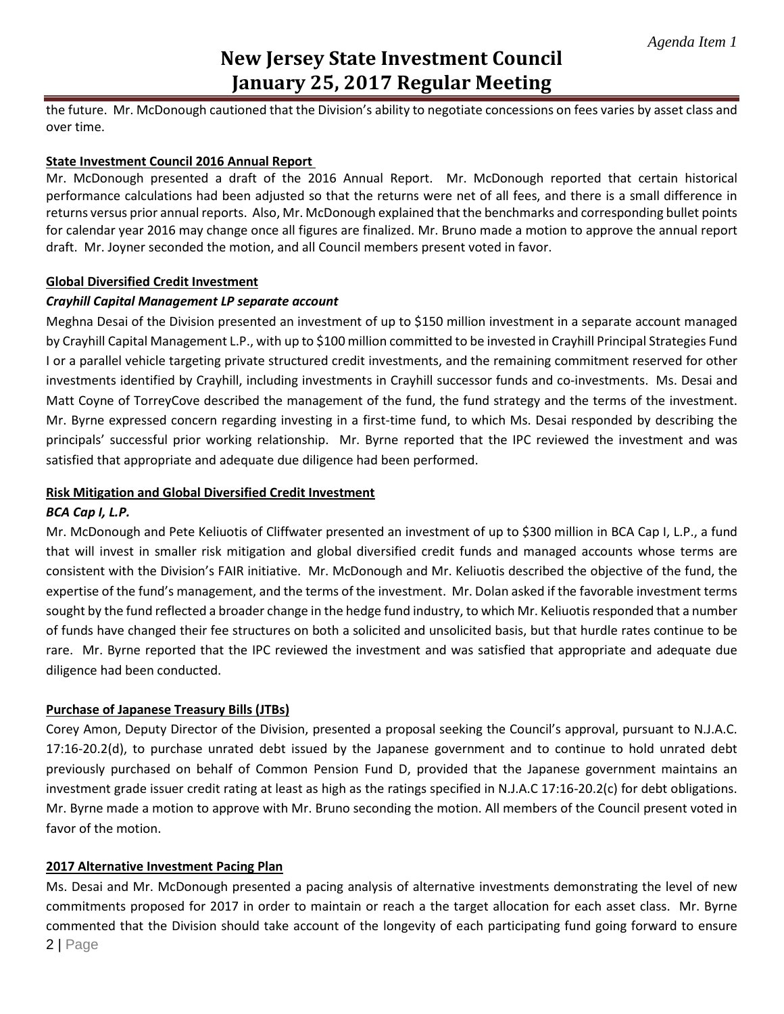# **New Jersey State Investment Council January 25, 2017 Regular Meeting**

the future. Mr. McDonough cautioned that the Division's ability to negotiate concessions on fees varies by asset class and over time.

# **State Investment Council 2016 Annual Report**

Mr. McDonough presented a draft of the 2016 Annual Report. Mr. McDonough reported that certain historical performance calculations had been adjusted so that the returns were net of all fees, and there is a small difference in returns versus prior annual reports. Also, Mr. McDonough explained that the benchmarks and corresponding bullet points for calendar year 2016 may change once all figures are finalized. Mr. Bruno made a motion to approve the annual report draft. Mr. Joyner seconded the motion, and all Council members present voted in favor.

# **Global Diversified Credit Investment**

#### *Crayhill Capital Management LP separate account*

Meghna Desai of the Division presented an investment of up to \$150 million investment in a separate account managed by Crayhill Capital Management L.P., with up to \$100 million committed to be invested in Crayhill Principal Strategies Fund I or a parallel vehicle targeting private structured credit investments, and the remaining commitment reserved for other investments identified by Crayhill, including investments in Crayhill successor funds and co-investments. Ms. Desai and Matt Coyne of TorreyCove described the management of the fund, the fund strategy and the terms of the investment. Mr. Byrne expressed concern regarding investing in a first-time fund, to which Ms. Desai responded by describing the principals' successful prior working relationship. Mr. Byrne reported that the IPC reviewed the investment and was satisfied that appropriate and adequate due diligence had been performed.

#### **Risk Mitigation and Global Diversified Credit Investment**

### *BCA Cap I, L.P.*

Mr. McDonough and Pete Keliuotis of Cliffwater presented an investment of up to \$300 million in BCA Cap I, L.P., a fund that will invest in smaller risk mitigation and global diversified credit funds and managed accounts whose terms are consistent with the Division's FAIR initiative. Mr. McDonough and Mr. Keliuotis described the objective of the fund, the expertise of the fund's management, and the terms of the investment. Mr. Dolan asked if the favorable investment terms sought by the fund reflected a broader change in the hedge fund industry, to which Mr. Keliuotis responded that a number of funds have changed their fee structures on both a solicited and unsolicited basis, but that hurdle rates continue to be rare. Mr. Byrne reported that the IPC reviewed the investment and was satisfied that appropriate and adequate due diligence had been conducted.

#### **Purchase of Japanese Treasury Bills (JTBs)**

Corey Amon, Deputy Director of the Division, presented a proposal seeking the Council's approval, pursuant to N.J.A.C. 17:16-20.2(d), to purchase unrated debt issued by the Japanese government and to continue to hold unrated debt previously purchased on behalf of Common Pension Fund D, provided that the Japanese government maintains an investment grade issuer credit rating at least as high as the ratings specified in N.J.A.C 17:16-20.2(c) for debt obligations. Mr. Byrne made a motion to approve with Mr. Bruno seconding the motion. All members of the Council present voted in favor of the motion.

# **2017 Alternative Investment Pacing Plan**

2 | Page Ms. Desai and Mr. McDonough presented a pacing analysis of alternative investments demonstrating the level of new commitments proposed for 2017 in order to maintain or reach a the target allocation for each asset class. Mr. Byrne commented that the Division should take account of the longevity of each participating fund going forward to ensure